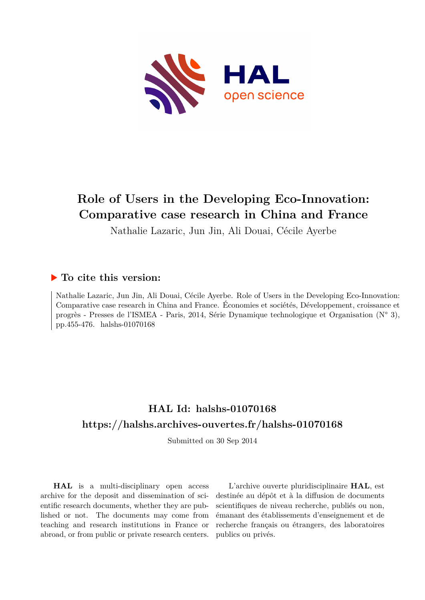

# **Role of Users in the Developing Eco-Innovation: Comparative case research in China and France**

Nathalie Lazaric, Jun Jin, Ali Douai, Cécile Ayerbe

# **To cite this version:**

Nathalie Lazaric, Jun Jin, Ali Douai, Cécile Ayerbe. Role of Users in the Developing Eco-Innovation: Comparative case research in China and France. Économies et sociétés, Développement, croissance et progrès - Presses de l'ISMEA - Paris, 2014, Série Dynamique technologique et Organisation (N° 3), pp.455-476. halshs-01070168

# **HAL Id: halshs-01070168 <https://halshs.archives-ouvertes.fr/halshs-01070168>**

Submitted on 30 Sep 2014

**HAL** is a multi-disciplinary open access archive for the deposit and dissemination of scientific research documents, whether they are published or not. The documents may come from teaching and research institutions in France or abroad, or from public or private research centers.

L'archive ouverte pluridisciplinaire **HAL**, est destinée au dépôt et à la diffusion de documents scientifiques de niveau recherche, publiés ou non, émanant des établissements d'enseignement et de recherche français ou étrangers, des laboratoires publics ou privés.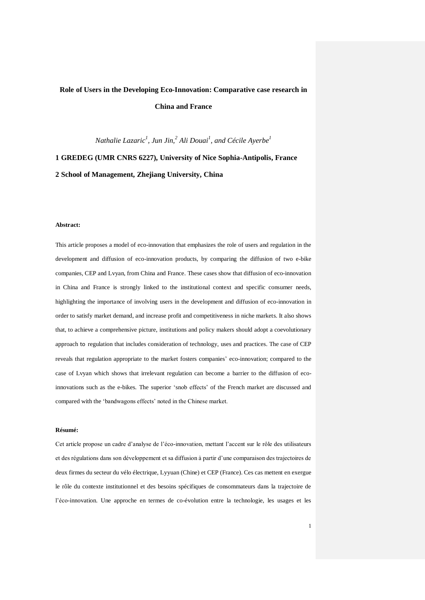# **Role of Users in the Developing Eco-Innovation: Comparative case research in China and France**

*Nathalie Lazaric<sup>1</sup> , Jun Jin, 2 Ali Douai<sup>1</sup> , and Cécile Ayerbe<sup>1</sup>*

**1 GREDEG (UMR CNRS 6227), University of Nice Sophia-Antipolis, France 2 School of Management, Zhejiang University, China**

#### **Abstract:**

This article proposes a model of eco-innovation that emphasizes the role of users and regulation in the development and diffusion of eco-innovation products, by comparing the diffusion of two e-bike companies, CEP and Lvyan, from China and France. These cases show that diffusion of eco-innovation in China and France is strongly linked to the institutional context and specific consumer needs, highlighting the importance of involving users in the development and diffusion of eco-innovation in order to satisfy market demand, and increase profit and competitiveness in niche markets. It also shows that, to achieve a comprehensive picture, institutions and policy makers should adopt a coevolutionary approach to regulation that includes consideration of technology, uses and practices. The case of CEP reveals that regulation appropriate to the market fosters companies" eco-innovation; compared to the case of Lvyan which shows that irrelevant regulation can become a barrier to the diffusion of ecoinnovations such as the e-bikes. The superior "snob effects" of the French market are discussed and compared with the "bandwagons effects" noted in the Chinese market.

#### **Résumé:**

Cet article propose un cadre d"analyse de l"éco-innovation, mettant l"accent sur le rôle des utilisateurs et des régulations dans son développement et sa diffusion à partir d"une comparaison des trajectoires de deux firmes du secteur du vélo électrique, Lyyuan (Chine) et CEP (France). Ces cas mettent en exergue le rôle du contexte institutionnel et des besoins spécifiques de consommateurs dans la trajectoire de l"éco-innovation. Une approche en termes de co-évolution entre la technologie, les usages et les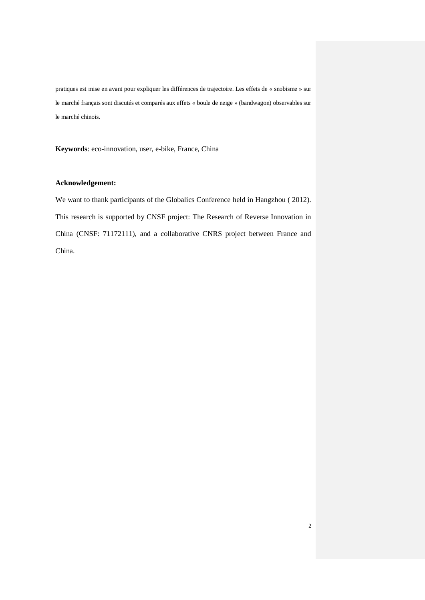pratiques est mise en avant pour expliquer les différences de trajectoire. Les effets de « snobisme » sur le marché français sont discutés et comparés aux effets « boule de neige » (bandwagon) observables sur le marché chinois.

**Keywords**: eco-innovation, user, e-bike, France, China

## **Acknowledgement:**

We want to thank participants of the Globalics Conference held in Hangzhou ( 2012). This research is supported by CNSF project: The Research of Reverse Innovation in China (CNSF: 71172111), and a collaborative CNRS project between France and China.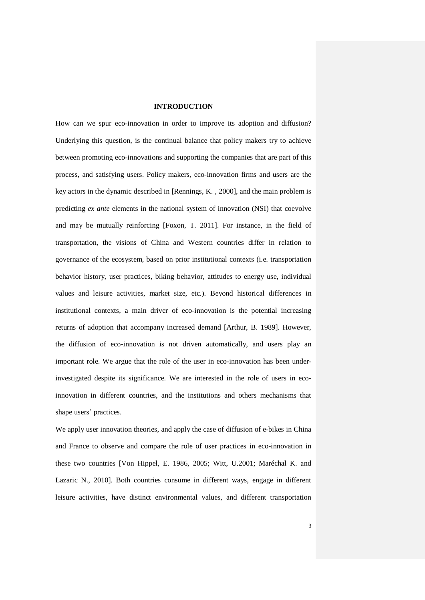## **INTRODUCTION**

How can we spur eco-innovation in order to improve its adoption and diffusion? Underlying this question, is the continual balance that policy makers try to achieve between promoting eco-innovations and supporting the companies that are part of this process, and satisfying users. Policy makers, eco-innovation firms and users are the key actors in the dynamic described in [Rennings, K. , 2000], and the main problem is predicting *ex ante* elements in the national system of innovation (NSI) that coevolve and may be mutually reinforcing [Foxon, T. 2011]. For instance, in the field of transportation, the visions of China and Western countries differ in relation to governance of the ecosystem, based on prior institutional contexts (i.e. transportation behavior history, user practices, biking behavior, attitudes to energy use, individual values and leisure activities, market size, etc.). Beyond historical differences in institutional contexts, a main driver of eco-innovation is the potential increasing returns of adoption that accompany increased demand [Arthur, B. 1989]. However, the diffusion of eco-innovation is not driven automatically, and users play an important role. We argue that the role of the user in eco-innovation has been underinvestigated despite its significance. We are interested in the role of users in ecoinnovation in different countries, and the institutions and others mechanisms that shape users' practices.

We apply user innovation theories, and apply the case of diffusion of e-bikes in China and France to observe and compare the role of user practices in eco-innovation in these two countries [Von Hippel, E. 1986, 2005; Witt, U.2001; Maréchal K. and Lazaric N., 2010]. Both countries consume in different ways, engage in different leisure activities, have distinct environmental values, and different transportation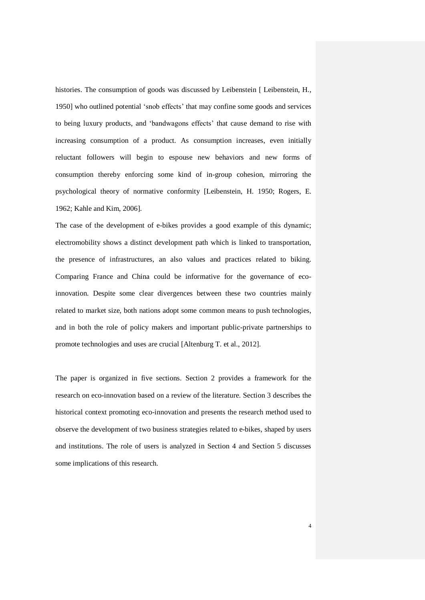histories. The consumption of goods was discussed by Leibenstein [ Leibenstein, H., 1950] who outlined potential "snob effects" that may confine some goods and services to being luxury products, and "bandwagons effects" that cause demand to rise with increasing consumption of a product. As consumption increases, even initially reluctant followers will begin to espouse new behaviors and new forms of consumption thereby enforcing some kind of in-group cohesion, mirroring the psychological theory of normative conformity [Leibenstein, H. 1950; Rogers, E. 1962; Kahle and Kim, 2006].

The case of the development of e-bikes provides a good example of this dynamic; electromobility shows a distinct development path which is linked to transportation, the presence of infrastructures, an also values and practices related to biking. Comparing France and China could be informative for the governance of ecoinnovation. Despite some clear divergences between these two countries mainly related to market size, both nations adopt some common means to push technologies, and in both the role of policy makers and important public-private partnerships to promote technologies and uses are crucial [Altenburg T. et al., 2012].

The paper is organized in five sections. Section 2 provides a framework for the research on eco-innovation based on a review of the literature. Section 3 describes the historical context promoting eco-innovation and presents the research method used to observe the development of two business strategies related to e-bikes, shaped by users and institutions. The role of users is analyzed in Section 4 and Section 5 discusses some implications of this research.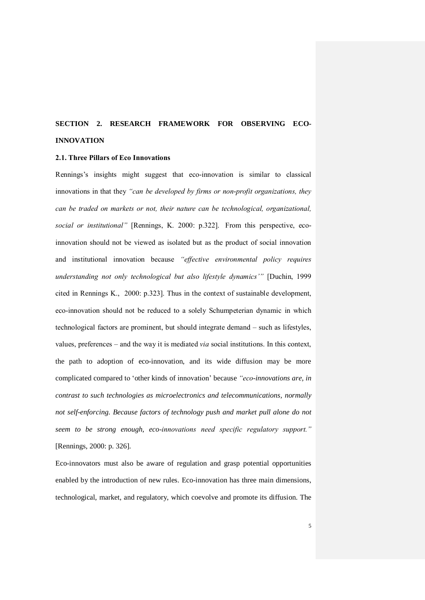# **SECTION 2. RESEARCH FRAMEWORK FOR OBSERVING ECO-INNOVATION**

#### **2.1. Three Pillars of Eco Innovations**

Rennings's insights might suggest that eco-innovation is similar to classical innovations in that they *"can be developed by firms or non-profit organizations, they can be traded on markets or not, their nature can be technological, organizational, social or institutional"* [Rennings, K. 2000: p.322]. From this perspective, ecoinnovation should not be viewed as isolated but as the product of social innovation and institutional innovation because *"effective environmental policy requires understanding not only technological but also lifestyle dynamics'"* [Duchin, 1999 cited in Rennings K., 2000: p.323]. Thus in the context of sustainable development, eco-innovation should not be reduced to a solely Schumpeterian dynamic in which technological factors are prominent, but should integrate demand – such as lifestyles, values, preferences – and the way it is mediated *via* social institutions. In this context, the path to adoption of eco-innovation, and its wide diffusion may be more complicated compared to "other kinds of innovation" because *"eco-innovations are, in contrast to such technologies as microelectronics and telecommunications, normally not self-enforcing. Because factors of technology push and market pull alone do not seem to be strong enough, eco-innovations need specific regulatory support."* [Rennings, 2000: p. 326].

Eco-innovators must also be aware of regulation and grasp potential opportunities enabled by the introduction of new rules. Eco-innovation has three main dimensions, technological, market, and regulatory, which coevolve and promote its diffusion. The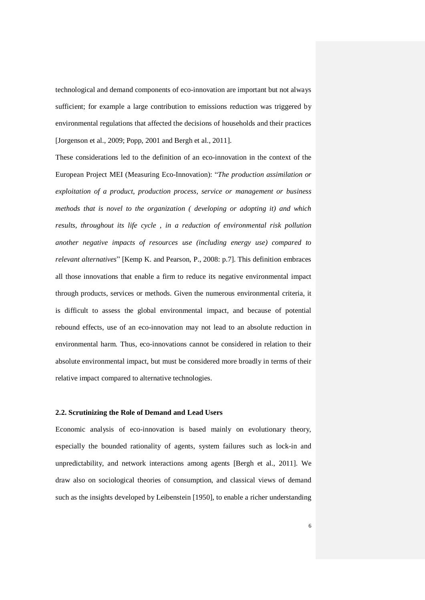technological and demand components of eco-innovation are important but not always sufficient; for example a large contribution to emissions reduction was triggered by environmental regulations that affected the decisions of households and their practices [Jorgenson et al., 2009; Popp, 2001 and Bergh et al., 2011].

These considerations led to the definition of an eco-innovation in the context of the European Project MEI (Measuring Eco-Innovation): "*The production assimilation or exploitation of a product, production process, service or management or business methods that is novel to the organization ( developing or adopting it) and which results, throughout its life cycle , in a reduction of environmental risk pollution another negative impacts of resources use (including energy use) compared to relevant alternatives*" [Kemp K. and Pearson, P., 2008: p.7]. This definition embraces all those innovations that enable a firm to reduce its negative environmental impact through products, services or methods. Given the numerous environmental criteria, it is difficult to assess the global environmental impact, and because of potential rebound effects, use of an eco-innovation may not lead to an absolute reduction in environmental harm. Thus, eco-innovations cannot be considered in relation to their absolute environmental impact, but must be considered more broadly in terms of their relative impact compared to alternative technologies.

#### **2.2. Scrutinizing the Role of Demand and Lead Users**

Economic analysis of eco-innovation is based mainly on evolutionary theory, especially the bounded rationality of agents, system failures such as lock-in and unpredictability, and network interactions among agents [Bergh et al., 2011]. We draw also on sociological theories of consumption, and classical views of demand such as the insights developed by Leibenstein [1950], to enable a richer understanding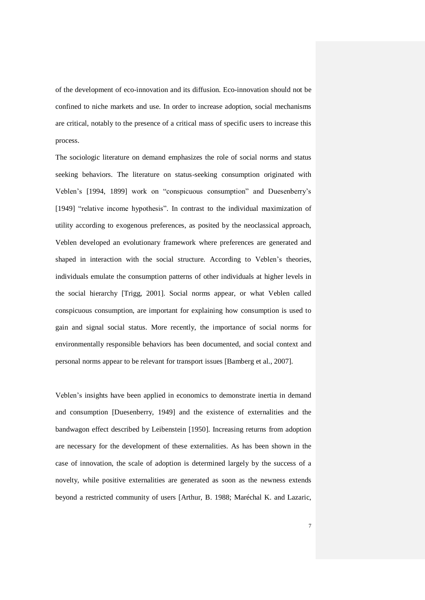of the development of eco-innovation and its diffusion. Eco-innovation should not be confined to niche markets and use. In order to increase adoption, social mechanisms are critical, notably to the presence of a critical mass of specific users to increase this process.

The sociologic literature on demand emphasizes the role of social norms and status seeking behaviors. The literature on status-seeking consumption originated with Veblen"s [1994, 1899] work on "conspicuous consumption" and Duesenberry"s [1949] "relative income hypothesis". In contrast to the individual maximization of utility according to exogenous preferences, as posited by the neoclassical approach, Veblen developed an evolutionary framework where preferences are generated and shaped in interaction with the social structure. According to Veblen"s theories, individuals emulate the consumption patterns of other individuals at higher levels in the social hierarchy [Trigg, 2001]. Social norms appear, or what Veblen called conspicuous consumption, are important for explaining how consumption is used to gain and signal social status. More recently, the importance of social norms for environmentally responsible behaviors has been documented, and social context and personal norms appear to be relevant for transport issues [Bamberg et al., 2007].

Veblen"s insights have been applied in economics to demonstrate inertia in demand and consumption [Duesenberry, 1949] and the existence of externalities and the bandwagon effect described by Leibenstein [1950]. Increasing returns from adoption are necessary for the development of these externalities. As has been shown in the case of innovation, the scale of adoption is determined largely by the success of a novelty, while positive externalities are generated as soon as the newness extends beyond a restricted community of users [Arthur, B. 1988; Maréchal K. and Lazaric,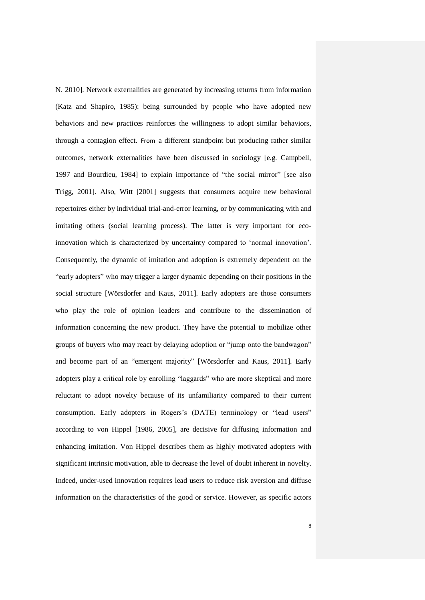N. 2010]. Network externalities are generated by increasing returns from information (Katz and Shapiro, 1985): being surrounded by people who have adopted new behaviors and new practices reinforces the willingness to adopt similar behaviors, through a contagion effect. From a different standpoint but producing rather similar outcomes, network externalities have been discussed in sociology [e.g. Campbell, 1997 and Bourdieu, 1984] to explain importance of "the social mirror" [see also Trigg, 2001]. Also, Witt [2001] suggests that consumers acquire new behavioral repertoires either by individual trial-and-error learning, or by communicating with and imitating others (social learning process). The latter is very important for ecoinnovation which is characterized by uncertainty compared to "normal innovation". Consequently, the dynamic of imitation and adoption is extremely dependent on the "early adopters" who may trigger a larger dynamic depending on their positions in the social structure [Wörsdorfer and Kaus, 2011]. Early adopters are those consumers who play the role of opinion leaders and contribute to the dissemination of information concerning the new product. They have the potential to mobilize other groups of buyers who may react by delaying adoption or "jump onto the bandwagon" and become part of an "emergent majority" [Wörsdorfer and Kaus, 2011]. Early adopters play a critical role by enrolling "laggards" who are more skeptical and more reluctant to adopt novelty because of its unfamiliarity compared to their current consumption. Early adopters in Rogers"s (DATE) terminology or "lead users" according to von Hippel [1986, 2005], are decisive for diffusing information and enhancing imitation. Von Hippel describes them as highly motivated adopters with significant intrinsic motivation, able to decrease the level of doubt inherent in novelty. Indeed, under-used innovation requires lead users to reduce risk aversion and diffuse information on the characteristics of the good or service. However, as specific actors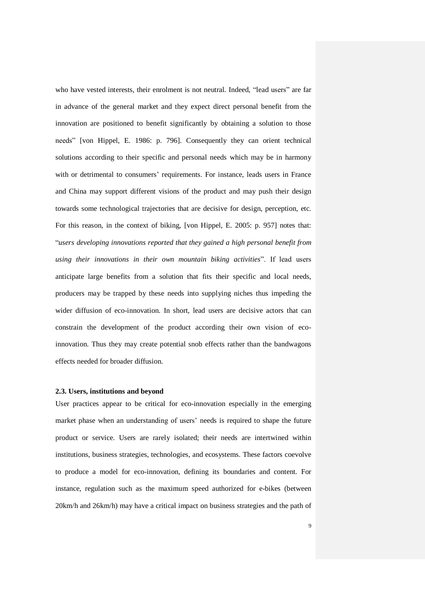who have vested interests, their enrolment is not neutral. Indeed, "lead users" are far in advance of the general market and they expect direct personal benefit from the innovation are positioned to benefit significantly by obtaining a solution to those needs" [von Hippel, E. 1986: p. 796]. Consequently they can orient technical solutions according to their specific and personal needs which may be in harmony with or detrimental to consumers' requirements. For instance, leads users in France and China may support different visions of the product and may push their design towards some technological trajectories that are decisive for design, perception, etc. For this reason, in the context of biking, [von Hippel, E. 2005: p. 957] notes that: "*users developing innovations reported that they gained a high personal benefit from using their innovations in their own mountain biking activities*". If lead users anticipate large benefits from a solution that fits their specific and local needs, producers may be trapped by these needs into supplying niches thus impeding the wider diffusion of eco-innovation. In short, lead users are decisive actors that can constrain the development of the product according their own vision of ecoinnovation. Thus they may create potential snob effects rather than the bandwagons effects needed for broader diffusion.

#### **2.3. Users, institutions and beyond**

User practices appear to be critical for eco-innovation especially in the emerging market phase when an understanding of users' needs is required to shape the future product or service. Users are rarely isolated; their needs are intertwined within institutions, business strategies, technologies, and ecosystems. These factors coevolve to produce a model for eco-innovation, defining its boundaries and content. For instance, regulation such as the maximum speed authorized for e-bikes (between 20km/h and 26km/h) may have a critical impact on business strategies and the path of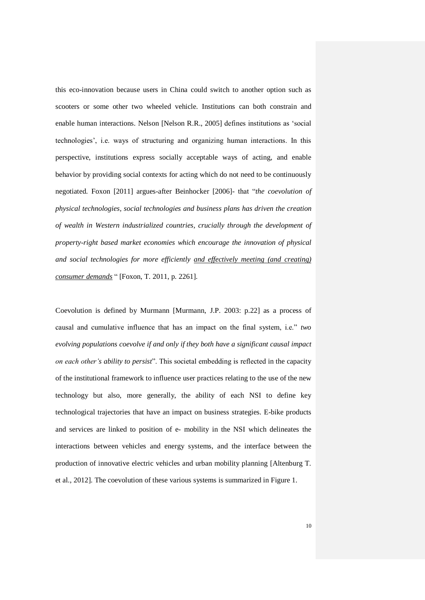this eco-innovation because users in China could switch to another option such as scooters or some other two wheeled vehicle. Institutions can both constrain and enable human interactions. Nelson [Nelson R.R., 2005] defines institutions as "social technologies", i.e. ways of structuring and organizing human interactions. In this perspective, institutions express socially acceptable ways of acting, and enable behavior by providing social contexts for acting which do not need to be continuously negotiated. Foxon [2011] argues-after Beinhocker [2006]- that "*the coevolution of physical technologies, social technologies and business plans has driven the creation of wealth in Western industrialized countries, crucially through the development of property-right based market economies which encourage the innovation of physical and social technologies for more efficiently and effectively meeting (and creating) consumer demands* " [Foxon, T. 2011, p. 2261].

Coevolution is defined by Murmann [Murmann, J.P. 2003: p.22] as a process of causal and cumulative influence that has an impact on the final system, i.e." *two evolving populations coevolve if and only if they both have a significant causal impact on each other's ability to persist*". This societal embedding is reflected in the capacity of the institutional framework to influence user practices relating to the use of the new technology but also, more generally, the ability of each NSI to define key technological trajectories that have an impact on business strategies. E-bike products and services are linked to position of e- mobility in the NSI which delineates the interactions between vehicles and energy systems, and the interface between the production of innovative electric vehicles and urban mobility planning [Altenburg T. et al., 2012]. The coevolution of these various systems is summarized in Figure 1.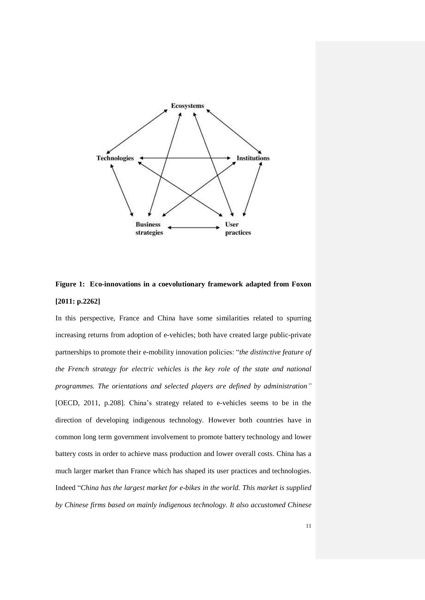



In this perspective, France and China have some similarities related to spurring increasing returns from adoption of e-vehicles; both have created large public-private partnerships to promote their e-mobility innovation policies: "*the distinctive feature of the French strategy for electric vehicles is the key role of the state and national programmes. The orientations and selected players are defined by administration"* [OECD, 2011, p.208]. China"s strategy related to e-vehicles seems to be in the direction of developing indigenous technology. However both countries have in common long term government involvement to promote battery technology and lower battery costs in order to achieve mass production and lower overall costs. China has a much larger market than France which has shaped its user practices and technologies. Indeed "*China has the largest market for e-bikes in the world. This market is supplied by Chinese firms based on mainly indigenous technology. It also accustomed Chinese*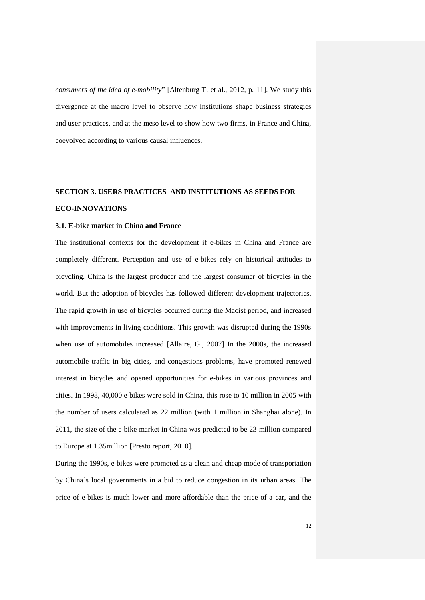*consumers of the idea of e-mobility*" [Altenburg T. et al., 2012, p. 11]. We study this divergence at the macro level to observe how institutions shape business strategies and user practices, and at the meso level to show how two firms, in France and China, coevolved according to various causal influences.

# **SECTION 3. USERS PRACTICES AND INSTITUTIONS AS SEEDS FOR**

# **ECO-INNOVATIONS**

## **3.1. E-bike market in China and France**

The institutional contexts for the development if e-bikes in China and France are completely different. Perception and use of e-bikes rely on historical attitudes to bicycling. China is the largest producer and the largest consumer of bicycles in the world. But the adoption of bicycles has followed different development trajectories. The rapid growth in use of bicycles occurred during the Maoist period, and increased with improvements in living conditions. This growth was disrupted during the 1990s when use of automobiles increased [Allaire, G., 2007] In the 2000s, the increased automobile traffic in big cities, and congestions problems, have promoted renewed interest in bicycles and opened opportunities for e-bikes in various provinces and cities. In 1998, 40,000 e-bikes were sold in China, this rose to 10 million in 2005 with the number of users calculated as 22 million (with 1 million in Shanghai alone). In 2011, the size of the e-bike market in China was predicted to be 23 million compared to Europe at 1.35million [Presto report, 2010].

During the 1990s, e-bikes were promoted as a clean and cheap mode of transportation by China"s local governments in a bid to reduce congestion in its urban areas. The price of e-bikes is much lower and more affordable than the price of a car, and the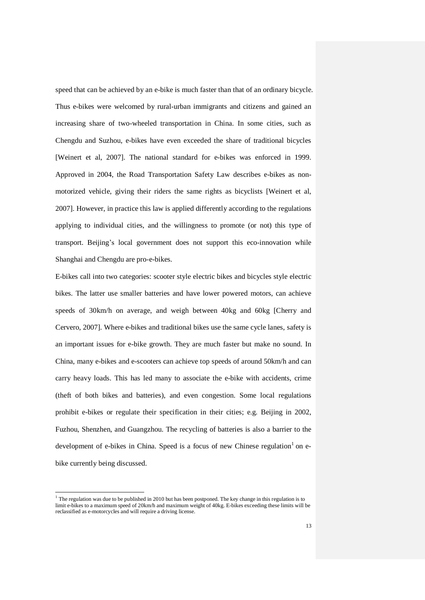speed that can be achieved by an e-bike is much faster than that of an ordinary bicycle. Thus e-bikes were welcomed by rural-urban immigrants and citizens and gained an increasing share of two-wheeled transportation in China. In some cities, such as Chengdu and Suzhou, e-bikes have even exceeded the share of traditional bicycles [Weinert et al, 2007]. The national standard for e-bikes was enforced in 1999. Approved in 2004, the Road Transportation Safety Law describes e-bikes as nonmotorized vehicle, giving their riders the same rights as bicyclists [Weinert et al, 2007]. However, in practice this law is applied differently according to the regulations applying to individual cities, and the willingness to promote (or not) this type of transport. Beijing"s local government does not support this eco-innovation while Shanghai and Chengdu are pro-e-bikes.

E-bikes call into two categories: scooter style electric bikes and bicycles style electric bikes. The latter use smaller batteries and have lower powered motors, can achieve speeds of 30km/h on average, and weigh between 40kg and 60kg [Cherry and Cervero, 2007]. Where e-bikes and traditional bikes use the same cycle lanes, safety is an important issues for e-bike growth. They are much faster but make no sound. In China, many e-bikes and e-scooters can achieve top speeds of around 50km/h and can carry heavy loads. This has led many to associate the e-bike with accidents, crime (theft of both bikes and batteries), and even congestion. Some local regulations prohibit e-bikes or regulate their specification in their cities; e.g. Beijing in 2002, Fuzhou, Shenzhen, and Guangzhou. The recycling of batteries is also a barrier to the development of e-bikes in China. Speed is a focus of new Chinese regulation<sup>1</sup> on ebike currently being discussed.

 $\overline{a}$ 

 $1$ <sup>1</sup> The regulation was due to be published in 2010 but has been postponed. The key change in this regulation is to limit e-bikes to a maximum speed of 20km/h and maximum weight of 40kg. E-bikes exceeding these limits will be reclassified as e-motorcycles and will require a driving license.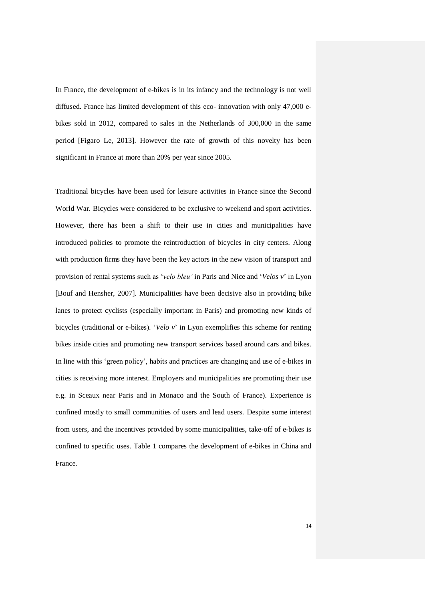In France, the development of e-bikes is in its infancy and the technology is not well diffused. France has limited development of this eco- innovation with only 47,000 ebikes sold in 2012, compared to sales in the Netherlands of 300,000 in the same period [Figaro Le, 2013]. However the rate of growth of this novelty has been significant in France at more than 20% per year since 2005.

Traditional bicycles have been used for leisure activities in France since the Second World War. Bicycles were considered to be exclusive to weekend and sport activities. However, there has been a shift to their use in cities and municipalities have introduced policies to promote the reintroduction of bicycles in city centers. Along with production firms they have been the key actors in the new vision of transport and provision of rental systems such as "*velo bleu'* in Paris and Nice and "*Velos v*" in Lyon [Bouf and Hensher, 2007]. Municipalities have been decisive also in providing bike lanes to protect cyclists (especially important in Paris) and promoting new kinds of bicycles (traditional or e-bikes). "*Velo v*" in Lyon exemplifies this scheme for renting bikes inside cities and promoting new transport services based around cars and bikes. In line with this "green policy", habits and practices are changing and use of e-bikes in cities is receiving more interest. Employers and municipalities are promoting their use e.g. in Sceaux near Paris and in Monaco and the South of France). Experience is confined mostly to small communities of users and lead users. Despite some interest from users, and the incentives provided by some municipalities, take-off of e-bikes is confined to specific uses. Table 1 compares the development of e-bikes in China and France.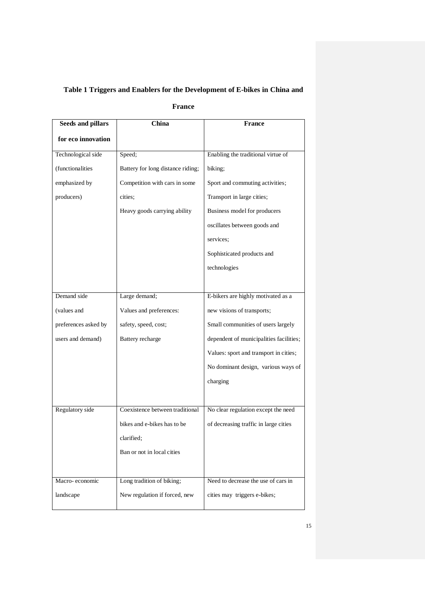## **Table 1 Triggers and Enablers for the Development of E-bikes in China and**

## **France**

| China                             | <b>France</b>                           |
|-----------------------------------|-----------------------------------------|
|                                   |                                         |
| Speed;                            | Enabling the traditional virtue of      |
| Battery for long distance riding; | biking;                                 |
| Competition with cars in some     | Sport and commuting activities;         |
| cities:                           | Transport in large cities;              |
| Heavy goods carrying ability      | Business model for producers            |
|                                   | oscillates between goods and            |
|                                   | services;                               |
|                                   | Sophisticated products and              |
|                                   | technologies                            |
|                                   |                                         |
| Large demand;                     | E-bikers are highly motivated as a      |
| Values and preferences:           | new visions of transports;              |
| safety, speed, cost;              | Small communities of users largely      |
| Battery recharge                  | dependent of municipalities facilities; |
|                                   | Values: sport and transport in cities;  |
|                                   | No dominant design, various ways of     |
|                                   | charging                                |
|                                   |                                         |
| Coexistence between traditional   | No clear regulation except the need     |
| bikes and e-bikes has to be       | of decreasing traffic in large cities   |
| clarified;                        |                                         |
| Ban or not in local cities        |                                         |
|                                   |                                         |
| Long tradition of biking;         | Need to decrease the use of cars in     |
| New regulation if forced, new     | cities may triggers e-bikes;            |
|                                   |                                         |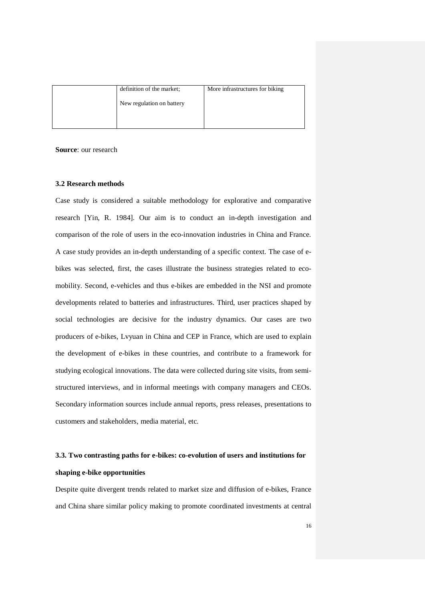| definition of the market; | More infrastructures for biking |
|---------------------------|---------------------------------|
| New regulation on battery |                                 |
|                           |                                 |

**Source**: our research

## **3.2 Research methods**

Case study is considered a suitable methodology for explorative and comparative research [Yin, R. 1984]. Our aim is to conduct an in-depth investigation and comparison of the role of users in the eco-innovation industries in China and France. A case study provides an in-depth understanding of a specific context. The case of ebikes was selected, first, the cases illustrate the business strategies related to ecomobility. Second, e-vehicles and thus e-bikes are embedded in the NSI and promote developments related to batteries and infrastructures. Third, user practices shaped by social technologies are decisive for the industry dynamics. Our cases are two producers of e-bikes, Lvyuan in China and CEP in France, which are used to explain the development of e-bikes in these countries, and contribute to a framework for studying ecological innovations. The data were collected during site visits, from semistructured interviews, and in informal meetings with company managers and CEOs. Secondary information sources include annual reports, press releases, presentations to customers and stakeholders, media material, etc.

# **3.3. Two contrasting paths for e-bikes: co-evolution of users and institutions for shaping e-bike opportunities**

Despite quite divergent trends related to market size and diffusion of e-bikes, France and China share similar policy making to promote coordinated investments at central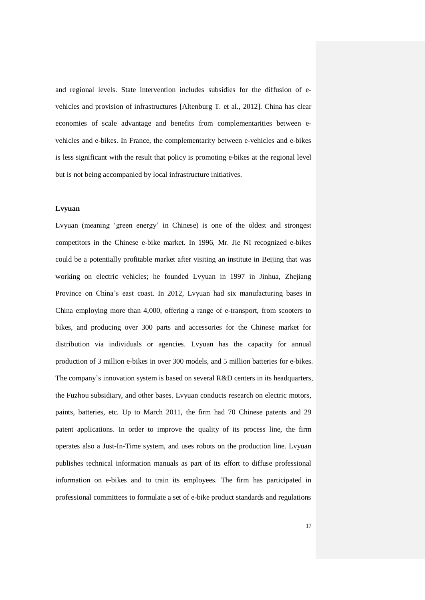and regional levels. State intervention includes subsidies for the diffusion of evehicles and provision of infrastructures [Altenburg T. et al., 2012]. China has clear economies of scale advantage and benefits from complementarities between evehicles and e-bikes. In France, the complementarity between e-vehicles and e-bikes is less significant with the result that policy is promoting e-bikes at the regional level but is not being accompanied by local infrastructure initiatives.

### **Lvyuan**

Lvyuan (meaning "green energy" in Chinese) is one of the oldest and strongest competitors in the Chinese e-bike market. In 1996, Mr. Jie NI recognized e-bikes could be a potentially profitable market after visiting an institute in Beijing that was working on electric vehicles; he founded Lvyuan in 1997 in Jinhua, Zhejiang Province on China"s east coast. In 2012, Lvyuan had six manufacturing bases in China employing more than 4,000, offering a range of e-transport, from scooters to bikes, and producing over 300 parts and accessories for the Chinese market for distribution via individuals or agencies. Lvyuan has the capacity for annual production of 3 million e-bikes in over 300 models, and 5 million batteries for e-bikes. The company's innovation system is based on several R&D centers in its headquarters, the Fuzhou subsidiary, and other bases. Lvyuan conducts research on electric motors, paints, batteries, etc. Up to March 2011, the firm had 70 Chinese patents and 29 patent applications. In order to improve the quality of its process line, the firm operates also a Just-In-Time system, and uses robots on the production line. Lvyuan publishes technical information manuals as part of its effort to diffuse professional information on e-bikes and to train its employees. The firm has participated in professional committees to formulate a set of e-bike product standards and regulations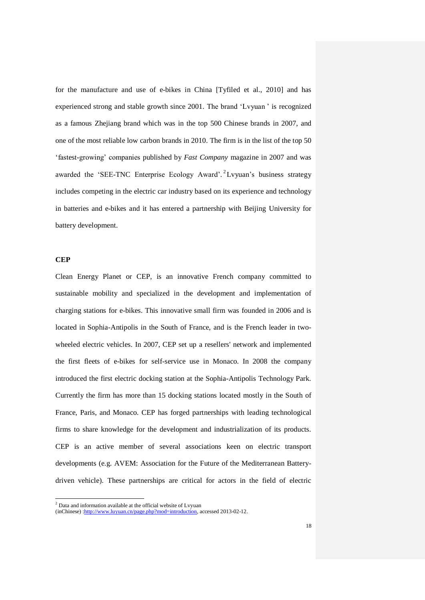for the manufacture and use of e-bikes in China [Tyfiled et al., 2010] and has experienced strong and stable growth since 2001. The brand "Lvyuan " is recognized as a famous Zhejiang brand which was in the top 500 Chinese brands in 2007, and one of the most reliable low carbon brands in 2010. The firm is in the list of the top 50 "fastest-growing" companies published by *Fast Company* magazine in 2007 and was awarded the 'SEE-TNC Enterprise Ecology Award'.<sup>2</sup> Lvyuan's business strategy includes competing in the electric car industry based on its experience and technology in batteries and e-bikes and it has entered a partnership with Beijing University for battery development.

#### **CEP**

 $\overline{a}$ 

Clean Energy Planet or CEP, is an innovative French company committed to sustainable mobility and specialized in the development and implementation of charging stations for e-bikes. This innovative small firm was founded in 2006 and is located in Sophia-Antipolis in the South of France, and is the French leader in twowheeled electric vehicles. In 2007, CEP set up a resellers' network and implemented the first fleets of e-bikes for self-service use in Monaco. In 2008 the company introduced the first electric docking station at the Sophia-Antipolis Technology Park. Currently the firm has more than 15 docking stations located mostly in the South of France, Paris, and Monaco. CEP has forged partnerships with leading technological firms to share knowledge for the development and industrialization of its products. CEP is an active member of several associations keen on electric transport developments (e.g. AVEM: Association for the Future of the Mediterranean Batterydriven vehicle). These partnerships are critical for actors in the field of electric

 $2$  Data and information available at the official website of Lyyuan

<sup>(</sup>inChinese) [:http://www.luyuan.cn/page.php?mod=introduction,](http://www.luyuan.cn/page.php?mod=introduction) accessed 2013-02-12.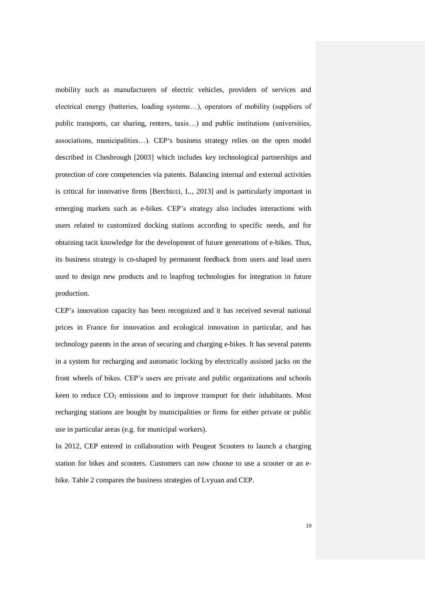mobility such as manufacturers of electric vehicles, providers of services and electrical energy (batteries, loading systems…), operators of mobility (suppliers of public transports, car sharing, renters, taxis…) and public institutions (universities, associations, municipalities...). CEP's business strategy relies on the open model described in Chesbrough [2003] which includes key technological partnerships and protection of core competencies via patents. Balancing internal and external activities is critical for innovative firms [Berchicci, L., 2013] and is particularly important in emerging markets such as e-bikes. CEP"s strategy also includes interactions with users related to customized docking stations according to specific needs, and for obtaining tacit knowledge for the development of future generations of e-bikes. Thus, its business strategy is co-shaped by permanent feedback from users and lead users used to design new products and to leapfrog technologies for integration in future production.

CEP"s innovation capacity has been recognized and it has received several national prices in France for innovation and ecological innovation in particular, and has technology patents in the areas of securing and charging e-bikes. It has several patents in a system for recharging and automatic locking by electrically assisted jacks on the front wheels of bikes. CEP"s users are private and public organizations and schools keen to reduce  $CO<sub>2</sub>$  emissions and to improve transport for their inhabitants. Most recharging stations are bought by municipalities or firms for either private or public use in particular areas (e.g. for municipal workers).

In 2012, CEP entered in collaboration with Peugeot Scooters to launch a charging station for bikes and scooters. Customers can now choose to use a scooter or an ebike. Table 2 compares the business strategies of Lvyuan and CEP.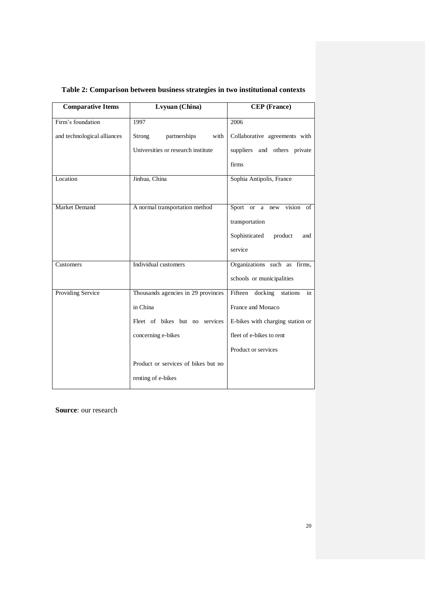| <b>Comparative Items</b>    | Lvyuan (China)                      | <b>CEP</b> (France)                  |
|-----------------------------|-------------------------------------|--------------------------------------|
| Firm's foundation           | 1997                                | 2006                                 |
| and technological alliances | Strong<br>partnerships<br>with      | Collaborative agreements with        |
|                             | Universities or research institute  | suppliers and others private         |
|                             |                                     | firms                                |
| Location                    | Jinhua, China                       | Sophia Antipolis, France             |
|                             |                                     |                                      |
| Market Demand               | A normal transportation method      | Sport or a<br>vision of<br>new       |
|                             |                                     | transportation                       |
|                             |                                     | Sophisticated<br>product<br>and      |
|                             |                                     | service                              |
| Customers                   | Individual customers                | Organizations such as firms,         |
|                             |                                     | schools or municipalities            |
| <b>Providing Service</b>    | Thousands agencies in 29 provinces  | Fifteen<br>docking<br>stations<br>in |
|                             | in China                            | France and Monaco                    |
|                             | Fleet of bikes but no services      | E-bikes with charging station or     |
|                             | concerning e-bikes                  | fleet of e-bikes to rent             |
|                             |                                     | Product or services                  |
|                             | Product or services of bikes but no |                                      |
|                             | renting of e-bikes                  |                                      |

**Table 2: Comparison between business strategies in two institutional contexts**

**Source**: our research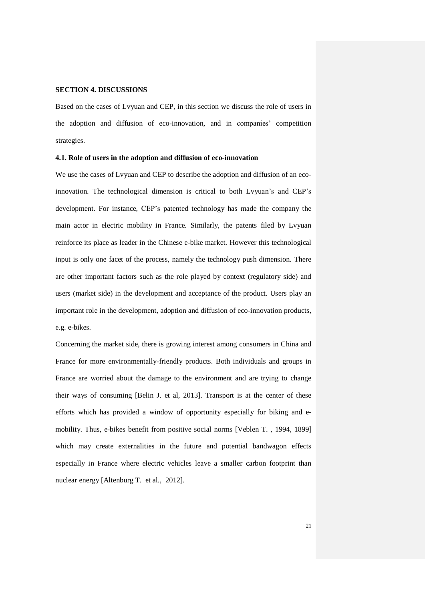## **SECTION 4. DISCUSSIONS**

Based on the cases of Lvyuan and CEP, in this section we discuss the role of users in the adoption and diffusion of eco-innovation, and in companies" competition strategies.

#### **4.1. Role of users in the adoption and diffusion of eco-innovation**

We use the cases of Lvyuan and CEP to describe the adoption and diffusion of an ecoinnovation. The technological dimension is critical to both Lvyuan"s and CEP"s development. For instance, CEP"s patented technology has made the company the main actor in electric mobility in France. Similarly, the patents filed by Lvyuan reinforce its place as leader in the Chinese e-bike market. However this technological input is only one facet of the process, namely the technology push dimension. There are other important factors such as the role played by context (regulatory side) and users (market side) in the development and acceptance of the product. Users play an important role in the development, adoption and diffusion of eco-innovation products, e.g. e-bikes.

Concerning the market side, there is growing interest among consumers in China and France for more environmentally-friendly products. Both individuals and groups in France are worried about the damage to the environment and are trying to change their ways of consuming [Belin J. et al, 2013]. Transport is at the center of these efforts which has provided a window of opportunity especially for biking and emobility. Thus, e-bikes benefit from positive social norms [Veblen T. , 1994, 1899] which may create externalities in the future and potential bandwagon effects especially in France where electric vehicles leave a smaller carbon footprint than nuclear energy [Altenburg T. et al., 2012].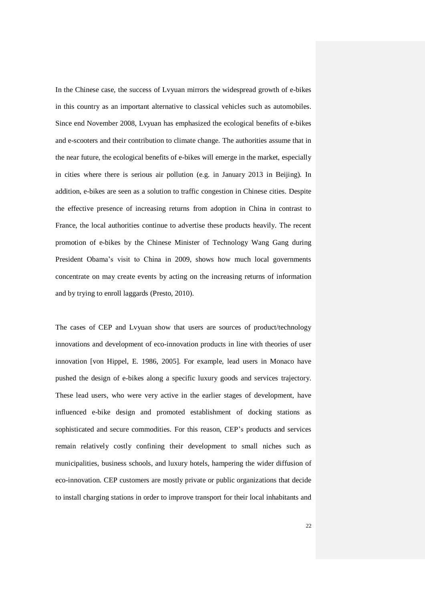In the Chinese case, the success of Lvyuan mirrors the widespread growth of e-bikes in this country as an important alternative to classical vehicles such as automobiles. Since end November 2008, Lvyuan has emphasized the ecological benefits of e-bikes and e-scooters and their contribution to climate change. The authorities assume that in the near future, the ecological benefits of e-bikes will emerge in the market, especially in cities where there is serious air pollution (e.g. in January 2013 in Beijing). In addition, e-bikes are seen as a solution to traffic congestion in Chinese cities. Despite the effective presence of increasing returns from adoption in China in contrast to France, the local authorities continue to advertise these products heavily. The recent promotion of e-bikes by the Chinese Minister of Technology Wang Gang during President Obama"s visit to China in 2009, shows how much local governments concentrate on may create events by acting on the increasing returns of information and by trying to enroll laggards (Presto, 2010).

The cases of CEP and Lvyuan show that users are sources of product/technology innovations and development of eco-innovation products in line with theories of user innovation [von Hippel, E. 1986, 2005]. For example, lead users in Monaco have pushed the design of e-bikes along a specific luxury goods and services trajectory. These lead users, who were very active in the earlier stages of development, have influenced e-bike design and promoted establishment of docking stations as sophisticated and secure commodities. For this reason, CEP"s products and services remain relatively costly confining their development to small niches such as municipalities, business schools, and luxury hotels, hampering the wider diffusion of eco-innovation. CEP customers are mostly private or public organizations that decide to install charging stations in order to improve transport for their local inhabitants and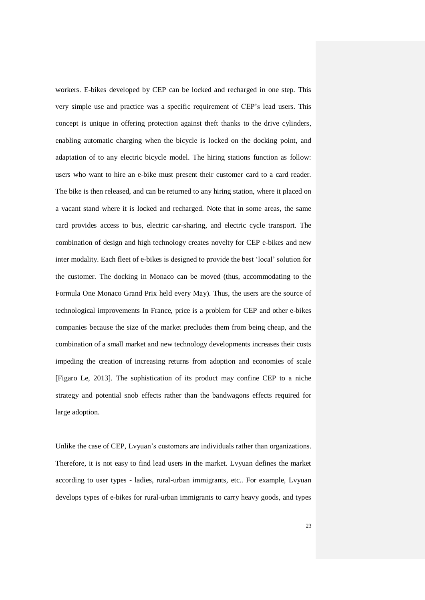workers. E-bikes developed by CEP can be locked and recharged in one step. This very simple use and practice was a specific requirement of CEP"s lead users. This concept is unique in offering protection against theft thanks to the drive cylinders, enabling automatic charging when the bicycle is locked on the docking point, and adaptation of to any electric bicycle model. The hiring stations function as follow: users who want to hire an e-bike must present their customer card to a card reader. The bike is then released, and can be returned to any hiring station, where it placed on a vacant stand where it is locked and recharged. Note that in some areas, the same card provides access to bus, electric car-sharing, and electric cycle transport. The combination of design and high technology creates novelty for CEP e-bikes and new inter modality. Each fleet of e-bikes is designed to provide the best "local" solution for the customer. The docking in Monaco can be moved (thus, accommodating to the Formula One Monaco Grand Prix held every May). Thus, the users are the source of technological improvements In France, price is a problem for CEP and other e-bikes companies because the size of the market precludes them from being cheap, and the combination of a small market and new technology developments increases their costs impeding the creation of increasing returns from adoption and economies of scale [Figaro Le, 2013]. The sophistication of its product may confine CEP to a niche strategy and potential snob effects rather than the bandwagons effects required for large adoption.

Unlike the case of CEP, Lyyuan's customers are individuals rather than organizations. Therefore, it is not easy to find lead users in the market. Lvyuan defines the market according to user types - ladies, rural-urban immigrants, etc.. For example, Lvyuan develops types of e-bikes for rural-urban immigrants to carry heavy goods, and types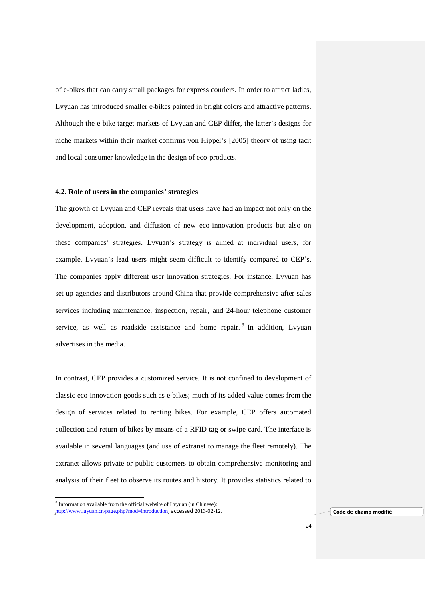of e-bikes that can carry small packages for express couriers. In order to attract ladies, Lvyuan has introduced smaller e-bikes painted in bright colors and attractive patterns. Although the e-bike target markets of Lvyuan and CEP differ, the latter"s designs for niche markets within their market confirms von Hippel"s [2005] theory of using tacit and local consumer knowledge in the design of eco-products.

#### **4.2. Role of users in the companies' strategies**

The growth of Lvyuan and CEP reveals that users have had an impact not only on the development, adoption, and diffusion of new eco-innovation products but also on these companies" strategies. Lvyuan"s strategy is aimed at individual users, for example. Lvyuan's lead users might seem difficult to identify compared to CEP's. The companies apply different user innovation strategies. For instance, Lvyuan has set up agencies and distributors around China that provide comprehensive after-sales services including maintenance, inspection, repair, and 24-hour telephone customer service, as well as roadside assistance and home repair.<sup>3</sup> In addition, Lvyuan advertises in the media.

In contrast, CEP provides a customized service. It is not confined to development of classic eco-innovation goods such as e-bikes; much of its added value comes from the design of services related to renting bikes. For example, CEP offers automated collection and return of bikes by means of a RFID tag or swipe card. The interface is available in several languages (and use of extranet to manage the fleet remotely). The extranet allows private or public customers to obtain comprehensive monitoring and analysis of their fleet to observe its routes and history. It provides statistics related to

 $\overline{a}$ 

<sup>&</sup>lt;sup>3</sup> Information available from the official website of Lvyuan (in Chinese):

<http://www.luyuan.cn/page.php?mod=introduction>, accessed 2013-02-12. **Code de champ modifié**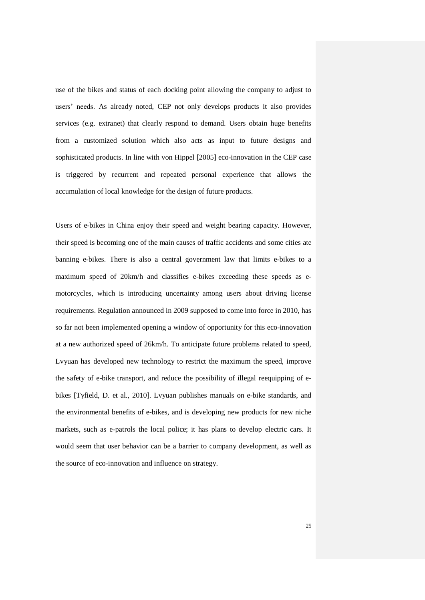use of the bikes and status of each docking point allowing the company to adjust to users' needs. As already noted, CEP not only develops products it also provides services (e.g. extranet) that clearly respond to demand. Users obtain huge benefits from a customized solution which also acts as input to future designs and sophisticated products. In line with von Hippel [2005] eco-innovation in the CEP case is triggered by recurrent and repeated personal experience that allows the accumulation of local knowledge for the design of future products.

Users of e-bikes in China enjoy their speed and weight bearing capacity. However, their speed is becoming one of the main causes of traffic accidents and some cities ate banning e-bikes. There is also a central government law that limits e-bikes to a maximum speed of 20km/h and classifies e-bikes exceeding these speeds as emotorcycles, which is introducing uncertainty among users about driving license requirements. Regulation announced in 2009 supposed to come into force in 2010, has so far not been implemented opening a window of opportunity for this eco-innovation at a new authorized speed of 26km/h. To anticipate future problems related to speed, Lvyuan has developed new technology to restrict the maximum the speed, improve the safety of e-bike transport, and reduce the possibility of illegal reequipping of ebikes [Tyfield, D. et al., 2010]. Lvyuan publishes manuals on e-bike standards, and the environmental benefits of e-bikes, and is developing new products for new niche markets, such as e-patrols the local police; it has plans to develop electric cars. It would seem that user behavior can be a barrier to company development, as well as the source of eco-innovation and influence on strategy.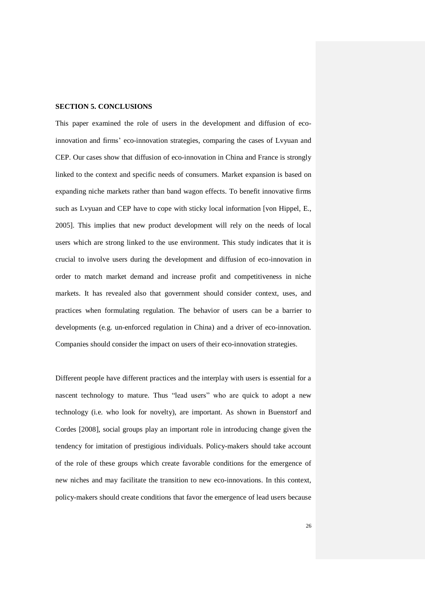### **SECTION 5. CONCLUSIONS**

This paper examined the role of users in the development and diffusion of ecoinnovation and firms' eco-innovation strategies, comparing the cases of Lvyuan and CEP. Our cases show that diffusion of eco-innovation in China and France is strongly linked to the context and specific needs of consumers. Market expansion is based on expanding niche markets rather than band wagon effects. To benefit innovative firms such as Lvyuan and CEP have to cope with sticky local information [von Hippel, E., 2005]. This implies that new product development will rely on the needs of local users which are strong linked to the use environment. This study indicates that it is crucial to involve users during the development and diffusion of eco-innovation in order to match market demand and increase profit and competitiveness in niche markets. It has revealed also that government should consider context, uses, and practices when formulating regulation. The behavior of users can be a barrier to developments (e.g. un-enforced regulation in China) and a driver of eco-innovation. Companies should consider the impact on users of their eco-innovation strategies.

Different people have different practices and the interplay with users is essential for a nascent technology to mature. Thus "lead users" who are quick to adopt a new technology (i.e. who look for novelty), are important. As shown in Buenstorf and Cordes [2008], social groups play an important role in introducing change given the tendency for imitation of prestigious individuals. Policy-makers should take account of the role of these groups which create favorable conditions for the emergence of new niches and may facilitate the transition to new eco-innovations. In this context, policy-makers should create conditions that favor the emergence of lead users because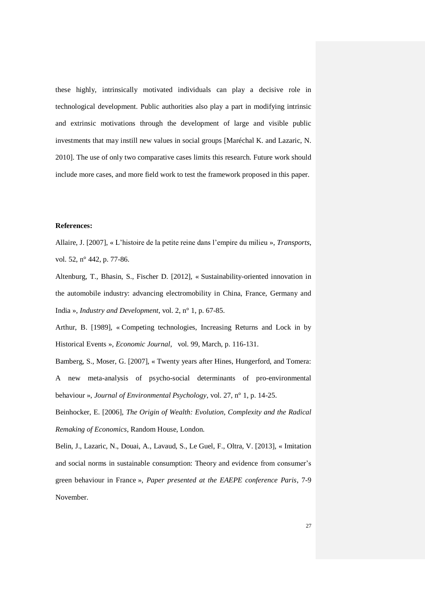these highly, intrinsically motivated individuals can play a decisive role in technological development. Public authorities also play a part in modifying intrinsic and extrinsic motivations through the development of large and visible public investments that may instill new values in social groups [Maréchal K. and Lazaric, N. 2010]. The use of only two comparative cases limits this research. Future work should include more cases, and more field work to test the framework proposed in this paper.

#### **References:**

Allaire, J. [2007], « L"histoire de la petite reine dans l"empire du milieu », *Transports*, vol. 52, n° 442, p. 77-86.

Altenburg, T., Bhasin, S., Fischer D. [2012], « Sustainability-oriented innovation in the automobile industry: advancing electromobility in China, France, Germany and India », *Industry and Development*, vol. 2, n° 1, p. 67-85.

Arthur, B. [1989], « Competing technologies, Increasing Returns and Lock in by Historical Events », *Economic Journal*, vol. 99, March, p. 116-131.

Bamberg, S., Moser, G. [2007], « Twenty years after Hines, Hungerford, and Tomera: A new meta-analysis of psycho-social determinants of pro-environmental behaviour », *Journal of Environmental Psychology*, vol. 27, n° 1, p. 14-25.

Beinhocker, E. [2006], *The Origin of Wealth: Evolution, Complexity and the Radical Remaking of Economics*, Random House, London.

Belin, J., Lazaric, N., Douai, A., Lavaud, S., Le Guel, F., Oltra, V. [2013], « Imitation and social norms in sustainable consumption: Theory and evidence from consumer's green behaviour in France », *Paper presented at the EAEPE conference Paris*, 7-9 November.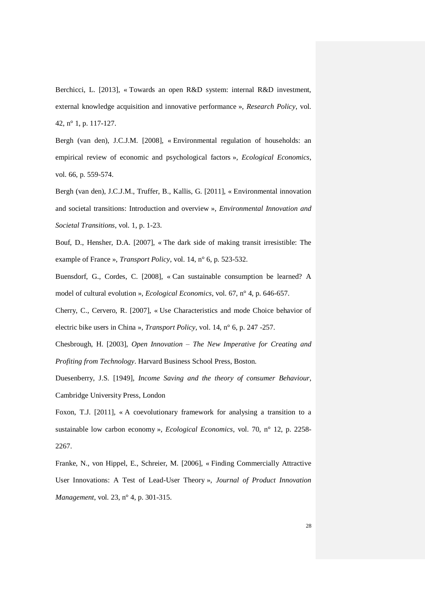Berchicci, L. [2013], « Towards an open R&D system: internal R&D investment, external knowledge acquisition and innovative performance », *Research Policy*, vol. 42, n° 1, p. 117-127.

Bergh (van den), J.C.J.M. [2008], « Environmental regulation of households: an empirical review of economic and psychological factors »*, Ecological Economics*, vol. 66, p. 559-574.

Bergh (van den), J.C.J.M., Truffer, B., Kallis, G. [2011], « Environmental innovation and societal transitions: Introduction and overview », *Environmental Innovation and Societal Transitions*, vol. 1, p. 1-23.

Bouf, D., Hensher, D.A. [2007], « The dark side of making transit irresistible: The example of France », *Transport Policy*, vol. 14, n° 6, p. 523-532.

Buensdorf, G., Cordes, C. [2008], « Can sustainable consumption be learned? A model of cultural evolution », *Ecological Economics*, vol. 67, n° 4, p. 646-657.

Cherry, C., Cervero, R. [2007], « Use Characteristics and mode Choice behavior of electric bike users in China », *Transport Policy*, vol. 14, n° 6, p. 247 -257.

Chesbrough, H. [2003], *Open Innovation – The New Imperative for Creating and Profiting from Technology*. Harvard Business School Press, Boston.

Duesenberry, J.S. [1949], *Income Saving and the theory of consumer Behaviour*, Cambridge University Press, London

Foxon, T.J. [2011], « A coevolutionary framework for analysing a transition to a sustainable low carbon economy », *Ecological Economics*, vol. 70, n° 12, p. 2258- 2267.

Franke, N., von Hippel, E., Schreier, M. [2006], « Finding Commercially Attractive User Innovations: A Test of Lead-User Theory », *Journal of Product Innovation Management*, vol. 23, n° 4, p. 301-315.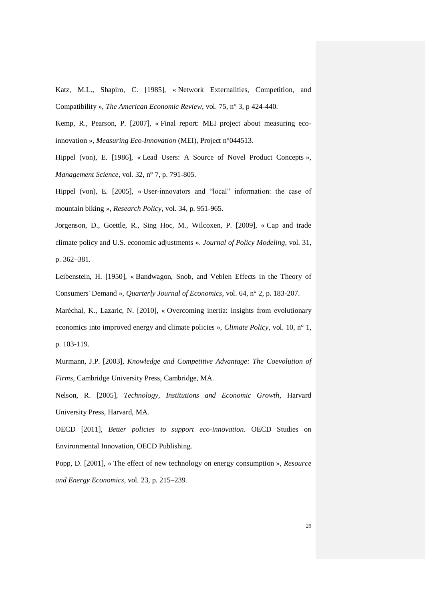Katz, M.L., Shapiro, C. [1985], « Network Externalities, Competition, and Compatibility », *The American Economic Review*, vol. 75, n° 3, p 424-440.

Kemp, R., Pearson, P. [2007], « Final report: MEI project about measuring ecoinnovation », *Measuring Eco-Innovation* (MEI), Project n°044513.

Hippel (von), E. [1986], « Lead Users: A Source of Novel Product Concepts », *Management Science*, vol. 32, n° 7, p. 791-805.

Hippel (von), E. [2005], « User-innovators and "local" information: the case of mountain biking », *Research Policy*, vol. 34, p. 951-965.

Jorgenson, D., Goettle, R., Sing Hoc, M., Wilcoxen, P. [2009], « Cap and trade climate policy and U.S. economic adjustments ». *Journal of Policy Modeling*, vol. 31, p. 362–381.

Leibenstein, H. [1950], « Bandwagon, Snob, and Veblen Effects in the Theory of Consumers' Demand », *Quarterly Journal of Economics*, vol. 64, n° 2, p. 183-207.

Maréchal, K., Lazaric, N. [2010], « Overcoming inertia: insights from evolutionary economics into improved energy and climate policies », *Climate Policy*, vol. 10, n° 1, p. 103-119.

Murmann, J.P. [2003], *Knowledge and Competitive Advantage: The Coevolution of Firms*, Cambridge University Press, Cambridge, MA.

Nelson, R. [2005], *Technology, Institutions and Economic Growth*, Harvard University Press, Harvard, MA.

OECD [2011], *Better policies to support eco-innovation*. OECD Studies on Environmental Innovation, OECD Publishing.

Popp, D. [2001], « The effect of new technology on energy consumption », *Resource and Energy Economics*, vol. 23, p. 215–239.